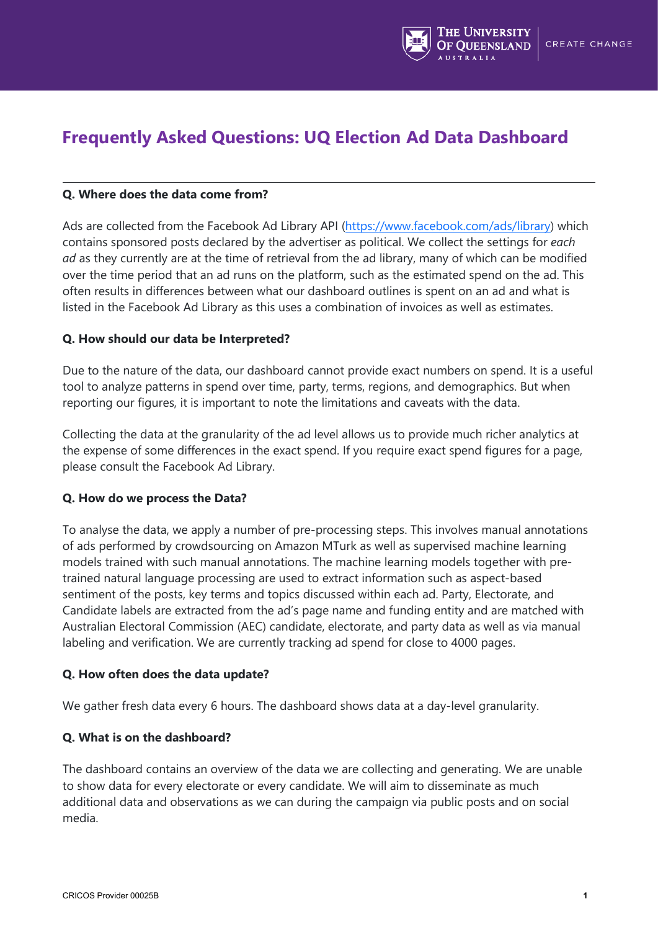

# **Frequently Asked Questions: UQ Election Ad Data Dashboard**

## **Q. Where does the data come from?**

Ads are collected from the Facebook Ad Library API [\(https://www.facebook.com/ads/library\)](https://www.facebook.com/ads/library) which contains sponsored posts declared by the advertiser as political. We collect the settings for *each ad* as they currently are at the time of retrieval from the ad library, many of which can be modified over the time period that an ad runs on the platform, such as the estimated spend on the ad. This often results in differences between what our dashboard outlines is spent on an ad and what is listed in the Facebook Ad Library as this uses a combination of invoices as well as estimates.

## **Q. How should our data be Interpreted?**

Due to the nature of the data, our dashboard cannot provide exact numbers on spend. It is a useful tool to analyze patterns in spend over time, party, terms, regions, and demographics. But when reporting our figures, it is important to note the limitations and caveats with the data.

Collecting the data at the granularity of the ad level allows us to provide much richer analytics at the expense of some differences in the exact spend. If you require exact spend figures for a page, please consult the Facebook Ad Library.

### **Q. How do we process the Data?**

To analyse the data, we apply a number of pre-processing steps. This involves manual annotations of ads performed by crowdsourcing on Amazon MTurk as well as supervised machine learning models trained with such manual annotations. The machine learning models together with pretrained natural language processing are used to extract information such as aspect-based sentiment of the posts, key terms and topics discussed within each ad. Party, Electorate, and Candidate labels are extracted from the ad's page name and funding entity and are matched with Australian Electoral Commission (AEC) candidate, electorate, and party data as well as via manual labeling and verification. We are currently tracking ad spend for close to 4000 pages.

### **Q. How often does the data update?**

We gather fresh data every 6 hours. The dashboard shows data at a day-level granularity.

# **Q. What is on the dashboard?**

The dashboard contains an overview of the data we are collecting and generating. We are unable to show data for every electorate or every candidate. We will aim to disseminate as much additional data and observations as we can during the campaign via public posts and on social media.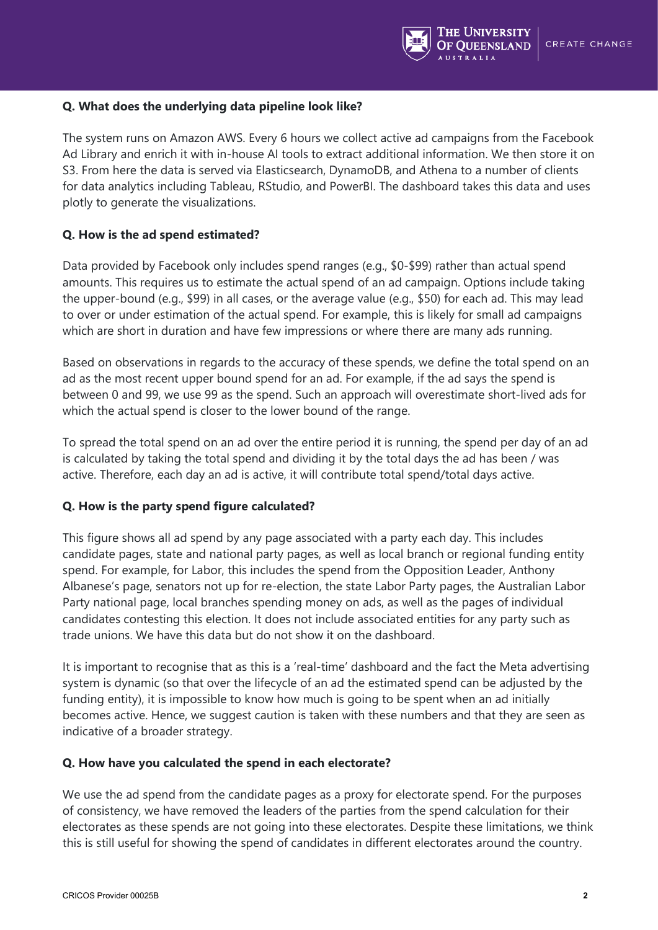

## **Q. What does the underlying data pipeline look like?**

The system runs on Amazon AWS. Every 6 hours we collect active ad campaigns from the Facebook Ad Library and enrich it with in-house AI tools to extract additional information. We then store it on S3. From here the data is served via Elasticsearch, DynamoDB, and Athena to a number of clients for data analytics including Tableau, RStudio, and PowerBI. The dashboard takes this data and uses plotly to generate the visualizations.

# **Q. How is the ad spend estimated?**

Data provided by Facebook only includes spend ranges (e.g., \$0-\$99) rather than actual spend amounts. This requires us to estimate the actual spend of an ad campaign. Options include taking the upper-bound (e.g., \$99) in all cases, or the average value (e.g., \$50) for each ad. This may lead to over or under estimation of the actual spend. For example, this is likely for small ad campaigns which are short in duration and have few impressions or where there are many ads running.

Based on observations in regards to the accuracy of these spends, we define the total spend on an ad as the most recent upper bound spend for an ad. For example, if the ad says the spend is between 0 and 99, we use 99 as the spend. Such an approach will overestimate short-lived ads for which the actual spend is closer to the lower bound of the range.

To spread the total spend on an ad over the entire period it is running, the spend per day of an ad is calculated by taking the total spend and dividing it by the total days the ad has been / was active. Therefore, each day an ad is active, it will contribute total spend/total days active.

### **Q. How is the party spend figure calculated?**

This figure shows all ad spend by any page associated with a party each day. This includes candidate pages, state and national party pages, as well as local branch or regional funding entity spend. For example, for Labor, this includes the spend from the Opposition Leader, Anthony Albanese's page, senators not up for re-election, the state Labor Party pages, the Australian Labor Party national page, local branches spending money on ads, as well as the pages of individual candidates contesting this election. It does not include associated entities for any party such as trade unions. We have this data but do not show it on the dashboard.

It is important to recognise that as this is a 'real-time' dashboard and the fact the Meta advertising system is dynamic (so that over the lifecycle of an ad the estimated spend can be adjusted by the funding entity), it is impossible to know how much is going to be spent when an ad initially becomes active. Hence, we suggest caution is taken with these numbers and that they are seen as indicative of a broader strategy.

### **Q. How have you calculated the spend in each electorate?**

We use the ad spend from the candidate pages as a proxy for electorate spend. For the purposes of consistency, we have removed the leaders of the parties from the spend calculation for their electorates as these spends are not going into these electorates. Despite these limitations, we think this is still useful for showing the spend of candidates in different electorates around the country.